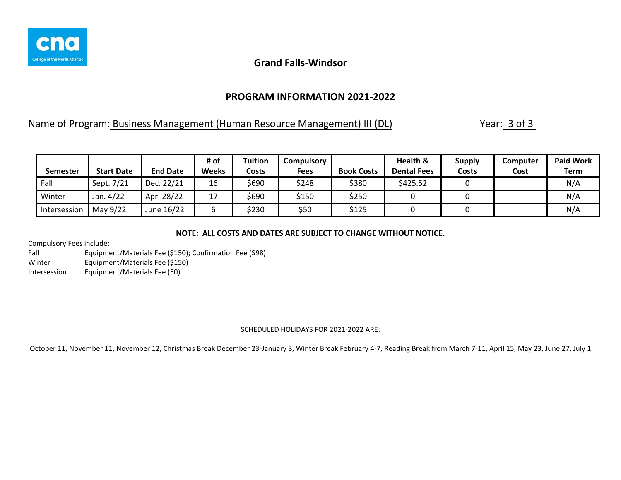

## **PROGRAM INFORMATION 2021-2022**

Name of Program: Business Management (Human Resource Management) III (DL) Year: 3 of 3

| <b>Semester</b> | <b>Start Date</b> | <b>End Date</b> | # of<br><b>Weeks</b> | Tuition<br>Costs | Compulsory<br>Fees | <b>Book Costs</b> | Health &<br><b>Dental Fees</b> | <b>Supply</b><br>Costs | Computer<br>Cost | <b>Paid Work</b><br><b>Term</b> |
|-----------------|-------------------|-----------------|----------------------|------------------|--------------------|-------------------|--------------------------------|------------------------|------------------|---------------------------------|
|                 |                   |                 |                      |                  |                    |                   |                                |                        |                  |                                 |
| Fall            | Sept. 7/21        | Dec. 22/21      | 16                   | \$690            | \$248              | \$380             | \$425.52                       |                        |                  | N/A                             |
| Winter          | Jan. 4/22         | Apr. 28/22      | 17                   | 690ذ             | \$150              | \$250             |                                |                        |                  | N/A                             |
| Intersession    | May 9/22          | June 16/22      | b                    | \$230            | \$50               | \$125             |                                |                        |                  | N/A                             |

### **NOTE: ALL COSTS AND DATES ARE SUBJECT TO CHANGE WITHOUT NOTICE.**

Compulsory Fees include:

Fall Equipment/Materials Fee (\$150); Confirmation Fee (\$98) Winter Equipment/Materials Fee (\$150) Intersession Equipment/Materials Fee (50)

### SCHEDULED HOLIDAYS FOR 2021-2022 ARE: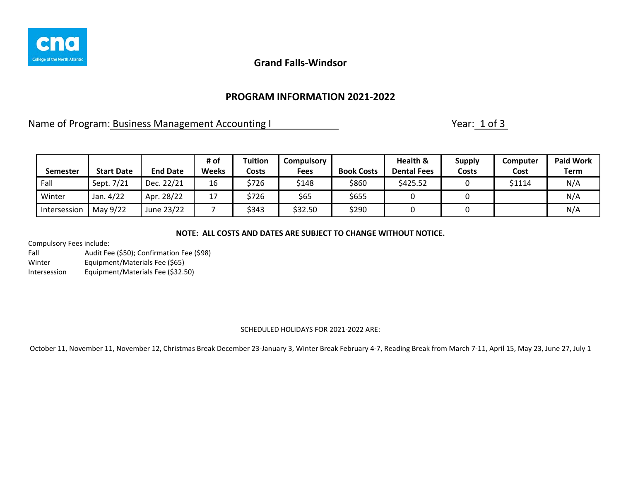

## **PROGRAM INFORMATION 2021-2022**

Name of Program: Business Management Accounting I Name of Program: 1 of 3

| <b>Semester</b> | <b>Start Date</b> | <b>End Date</b> | # of<br><b>Weeks</b> | <b>Tuition</b><br>Costs | Compulsory<br><b>Fees</b> | <b>Book Costs</b> | Health &<br><b>Dental Fees</b> | <b>Supply</b><br>Costs | Computer<br>Cost | <b>Paid Work</b><br>Term |
|-----------------|-------------------|-----------------|----------------------|-------------------------|---------------------------|-------------------|--------------------------------|------------------------|------------------|--------------------------|
| Fall            | Sept. 7/21        | Dec. 22/21      | 16                   | \$726                   | \$148                     | \$860             | \$425.52                       |                        | \$1114           | N/A                      |
| Winter          | Jan. 4/22         | Apr. 28/22      | 17                   | \$726                   | \$65                      | \$655             |                                |                        |                  | N/A                      |
| Intersession    | May 9/22          | June 23/22      |                      | \$343                   | \$32.50                   | \$290             |                                |                        |                  | N/A                      |

### **NOTE: ALL COSTS AND DATES ARE SUBJECT TO CHANGE WITHOUT NOTICE.**

Compulsory Fees include:

Fall Audit Fee (\$50); Confirmation Fee (\$98) Winter Equipment/Materials Fee (\$65) Intersession Equipment/Materials Fee (\$32.50)

### SCHEDULED HOLIDAYS FOR 2021-2022 ARE: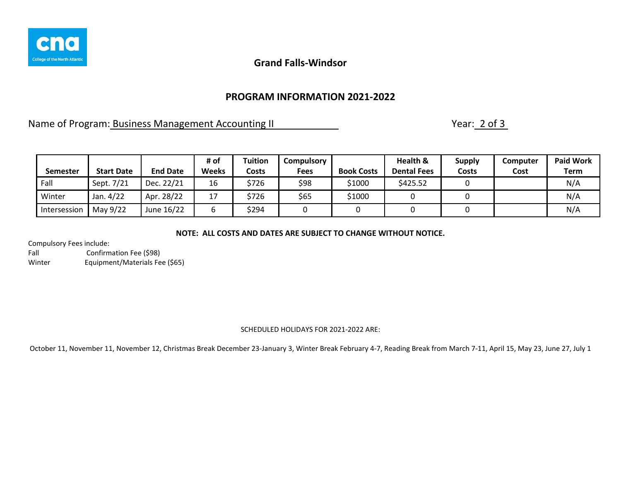

## **PROGRAM INFORMATION 2021-2022**

Name of Program: Business Management Accounting II Name of Program: 2 of 3

| Semester     | <b>Start Date</b> | <b>End Date</b> | # of<br><b>Weeks</b> | <b>Tuition</b><br>Costs | Compulsory<br><b>Fees</b> | <b>Book Costs</b> | Health &<br><b>Dental Fees</b> | <b>Supply</b><br>Costs | Computer<br>Cost | <b>Paid Work</b><br>Term |
|--------------|-------------------|-----------------|----------------------|-------------------------|---------------------------|-------------------|--------------------------------|------------------------|------------------|--------------------------|
| Fall         | Sept. 7/21        | Dec. 22/21      | 16                   | \$726                   | \$98                      | \$1000            | \$425.52                       |                        |                  | N/A                      |
| Winter       | Jan. 4/22         | Apr. 28/22      | 17                   | \$726                   | \$65                      | \$1000            |                                |                        |                  | N/A                      |
| Intersession | May 9/22          | June 16/22      | b                    | \$294                   |                           |                   |                                |                        |                  | N/A                      |

### **NOTE: ALL COSTS AND DATES ARE SUBJECT TO CHANGE WITHOUT NOTICE.**

Compulsory Fees include:

Fall Confirmation Fee (\$98) Winter Equipment/Materials Fee (\$65)

### SCHEDULED HOLIDAYS FOR 2021-2022 ARE: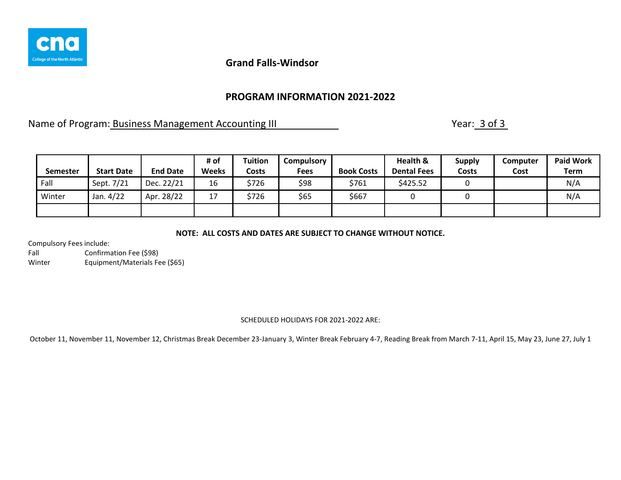

## **PROGRAM INFORMATION 2021-2022**

Name of Program: Business Management Accounting III Name of Program: 3 of 3

| Semester | <b>Start Date</b> | <b>End Date</b> | # of<br><b>Weeks</b> | Tuition<br>Costs | <b>Compulsory</b><br><b>Fees</b> | <b>Book Costs</b> | Health &<br><b>Dental Fees</b> | <b>Supply</b><br>Costs | Computer<br>Cost | <b>Paid Work</b><br>Term |
|----------|-------------------|-----------------|----------------------|------------------|----------------------------------|-------------------|--------------------------------|------------------------|------------------|--------------------------|
| Fall     | Sept. 7/21        | Dec. 22/21      | 16                   | \$726            | \$98                             | \$761             | \$425.52                       |                        |                  | N/A                      |
| Winter   | Jan. 4/22         | Apr. 28/22      | 17                   | \$726            | \$65                             | \$667             |                                |                        |                  | N/A                      |
|          |                   |                 |                      |                  |                                  |                   |                                |                        |                  |                          |

#### **NOTE: ALL COSTS AND DATES ARE SUBJECT TO CHANGE WITHOUT NOTICE.**

Compulsory Fees include:

Fall Confirmation Fee (\$98) Winter Equipment/Materials Fee (\$65)

#### SCHEDULED HOLIDAYS FOR 2021-2022 ARE: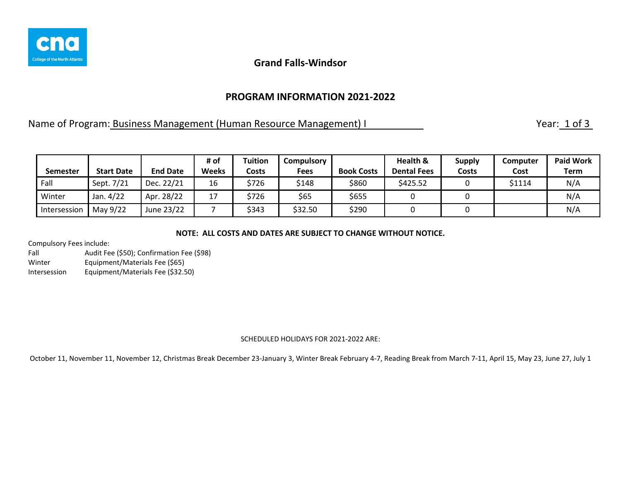

### **PROGRAM INFORMATION 2021-2022**

Name of Program: Business Management (Human Resource Management) I Year: 1 of 3

| <b>Semester</b> | <b>Start Date</b> | <b>End Date</b> | # of<br><b>Weeks</b> | Tuition<br>Costs | Compulsory<br><b>Fees</b> | <b>Book Costs</b> | Health &<br><b>Dental Fees</b> | <b>Supply</b><br>Costs | Computer<br>Cost | <b>Paid Work</b><br>Term |
|-----------------|-------------------|-----------------|----------------------|------------------|---------------------------|-------------------|--------------------------------|------------------------|------------------|--------------------------|
| Fall            | Sept. 7/21        | Dec. 22/21      | 16                   | \$726            | \$148                     | \$860             | \$425.52                       |                        | \$1114           | N/A                      |
| Winter          | Jan. 4/22         | Apr. 28/22      | 17<br>┸              | \$726            | \$65                      | \$655             |                                |                        |                  | N/A                      |
| Intersession    | May 9/22          | June 23/22      |                      | \$343            | \$32.50                   | \$290             |                                |                        |                  | N/A                      |

#### **NOTE: ALL COSTS AND DATES ARE SUBJECT TO CHANGE WITHOUT NOTICE.**

Compulsory Fees include:

Fall Audit Fee (\$50); Confirmation Fee (\$98) Winter Equipment/Materials Fee (\$65) Intersession Equipment/Materials Fee (\$32.50)

#### SCHEDULED HOLIDAYS FOR 2021-2022 ARE: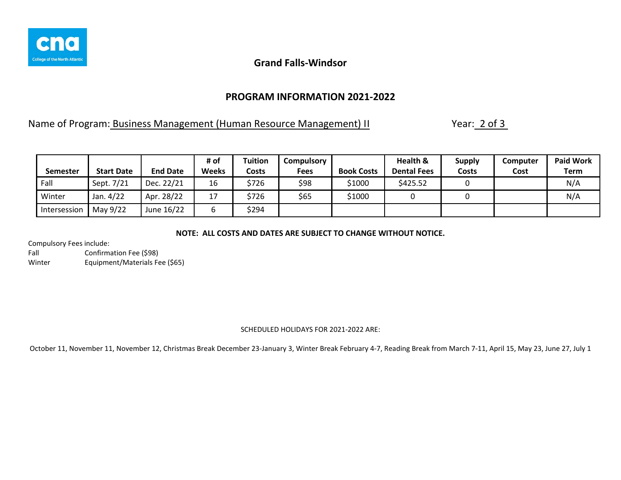

## **PROGRAM INFORMATION 2021-2022**

Name of Program: Business Management (Human Resource Management) II Year: 2 of 3

| Semester     | <b>Start Date</b> | <b>End Date</b> | # of<br><b>Weeks</b> | Tuition<br>Costs | <b>Compulsory</b><br><b>Fees</b> | <b>Book Costs</b> | Health &<br><b>Dental Fees</b> | <b>Supply</b><br>Costs | Computer<br>Cost | <b>Paid Work</b><br><b>Term</b> |
|--------------|-------------------|-----------------|----------------------|------------------|----------------------------------|-------------------|--------------------------------|------------------------|------------------|---------------------------------|
| Fall         | Sept. 7/21        | Dec. 22/21      | 16                   | \$726            | \$98                             | \$1000            | \$425.52                       |                        |                  | N/A                             |
| Winter       | Jan. 4/22         | Apr. 28/22      | 17<br>⊥              | \$726            | \$65                             | \$1000            |                                |                        |                  | N/A                             |
| Intersession | May 9/22          | June 16/22      | ь                    | \$294            |                                  |                   |                                |                        |                  |                                 |

**NOTE: ALL COSTS AND DATES ARE SUBJECT TO CHANGE WITHOUT NOTICE.**

Compulsory Fees include:

Fall Confirmation Fee (\$98) Winter Equipment/Materials Fee (\$65)

### SCHEDULED HOLIDAYS FOR 2021-2022 ARE: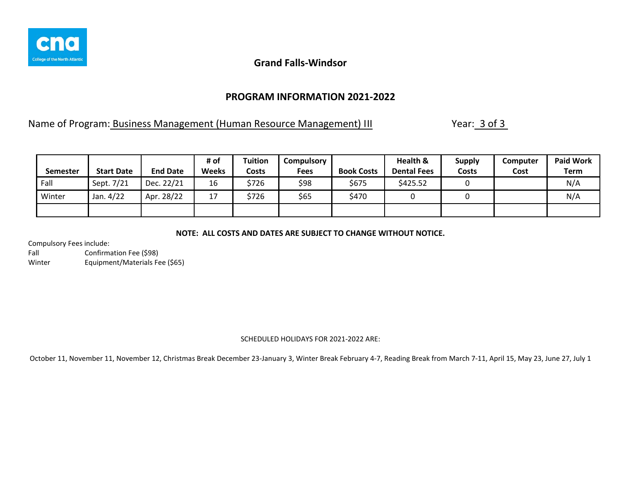

## **PROGRAM INFORMATION 2021-2022**

Name of Program: Business Management (Human Resource Management) III Year: 3 of 3

| Semester | <b>Start Date</b> | <b>End Date</b> | # of<br>Weeks | <b>Tuition</b><br>Costs | <b>Compulsory</b><br><b>Fees</b> | <b>Book Costs</b> | Health &<br><b>Dental Fees</b> | <b>Supply</b><br>Costs | Computer<br>Cost | <b>Paid Work</b><br><b>Term</b> |
|----------|-------------------|-----------------|---------------|-------------------------|----------------------------------|-------------------|--------------------------------|------------------------|------------------|---------------------------------|
| Fall     | Sept. 7/21        | Dec. 22/21      | 16            | \$726                   | \$98                             | \$675             | \$425.52                       |                        |                  | N/A                             |
| Winter   | Jan. 4/22         | Apr. 28/22      | 17<br>∸ ≀     | \$726                   | \$65                             | \$470             |                                |                        |                  | N/A                             |
|          |                   |                 |               |                         |                                  |                   |                                |                        |                  |                                 |

**NOTE: ALL COSTS AND DATES ARE SUBJECT TO CHANGE WITHOUT NOTICE.**

Compulsory Fees include:

Fall Confirmation Fee (\$98) Winter Equipment/Materials Fee (\$65)

### SCHEDULED HOLIDAYS FOR 2021-2022 ARE: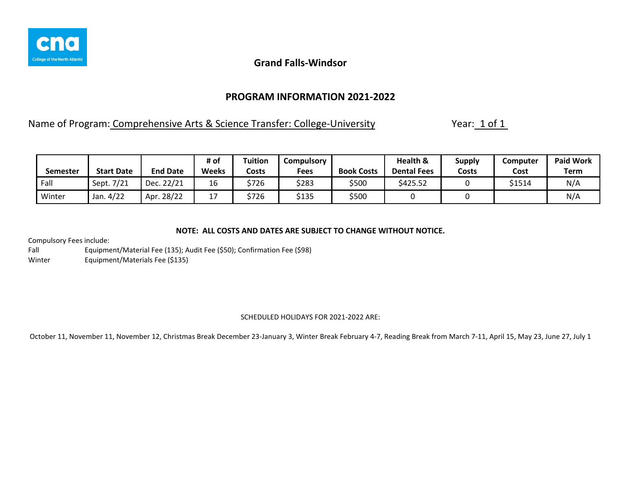

## **PROGRAM INFORMATION 2021-2022**

Name of Program: Comprehensive Arts & Science Transfer: College-University Year: 1 of 1

| Semester | <b>Start Date</b> | <b>End Date</b> | # of<br><b>Weeks</b>          | <b>Tuition</b><br>Costs | Compulsory<br><b>Fees</b> | <b>Book Costs</b> | Health &<br><b>Dental Fees</b> | Supply<br>Costs | Computer<br>Cost | <b>Paid Work</b><br>Term |
|----------|-------------------|-----------------|-------------------------------|-------------------------|---------------------------|-------------------|--------------------------------|-----------------|------------------|--------------------------|
| Fall     | Sept. 7/21        | Dec. 22/21      | 16                            | \$726                   | \$283                     | \$500             | \$425.52                       |                 | \$1514           | N/A                      |
| Winter   | Jan. 4/22         | .28/22<br>Apr   | $\overline{\phantom{a}}$<br>∸ | \$726                   | \$135                     | \$500             |                                |                 |                  | N/A                      |

### **NOTE: ALL COSTS AND DATES ARE SUBJECT TO CHANGE WITHOUT NOTICE.**

Compulsory Fees include:

Fall Equipment/Material Fee (135); Audit Fee (\$50); Confirmation Fee (\$98) Winter Equipment/Materials Fee (\$135)

### SCHEDULED HOLIDAYS FOR 2021-2022 ARE: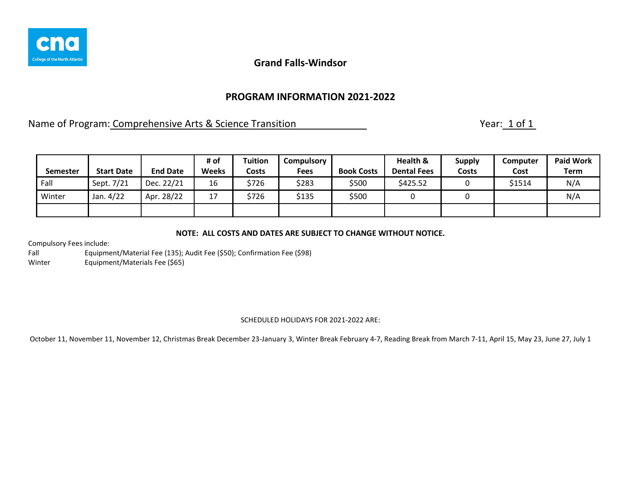

## **PROGRAM INFORMATION 2021-2022**

Name of Program: Comprehensive Arts & Science Transition Name of Program: 1 of 1

| Semester | <b>Start Date</b> | <b>End Date</b> | # of<br><b>Weeks</b> | Tuition<br>Costs | <b>Compulsory</b><br><b>Fees</b> | <b>Book Costs</b> | Health &<br><b>Dental Fees</b> | <b>Supply</b><br><b>Costs</b> | Computer<br>Cost | <b>Paid Work</b><br><b>Term</b> |
|----------|-------------------|-----------------|----------------------|------------------|----------------------------------|-------------------|--------------------------------|-------------------------------|------------------|---------------------------------|
| Fall     | Sept. 7/21        | Dec. 22/21      | 16                   | \$726            | \$283                            | \$500             | \$425.52                       |                               | \$1514           | N/A                             |
| Winter   | Jan. 4/22         | Apr. 28/22      | 17                   | \$726            | \$135                            | \$500             |                                |                               |                  | N/A                             |
|          |                   |                 |                      |                  |                                  |                   |                                |                               |                  |                                 |

### **NOTE: ALL COSTS AND DATES ARE SUBJECT TO CHANGE WITHOUT NOTICE.**

Compulsory Fees include:

Fall Equipment/Material Fee (135); Audit Fee (\$50); Confirmation Fee (\$98) Winter Equipment/Materials Fee (\$65)

#### SCHEDULED HOLIDAYS FOR 2021-2022 ARE: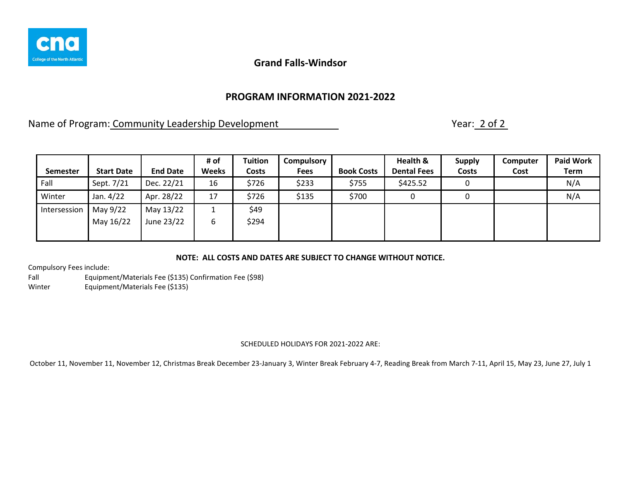

## **PROGRAM INFORMATION 2021-2022**

Name of Program: Community Leadership Development Name of Program: 2 of 2

| Semester     | <b>Start Date</b> | <b>End Date</b> | # of<br><b>Weeks</b> | <b>Tuition</b><br>Costs | <b>Compulsory</b><br><b>Fees</b> | <b>Book Costs</b> | Health &<br><b>Dental Fees</b> | <b>Supply</b><br>Costs | Computer<br>Cost | <b>Paid Work</b><br><b>Term</b> |
|--------------|-------------------|-----------------|----------------------|-------------------------|----------------------------------|-------------------|--------------------------------|------------------------|------------------|---------------------------------|
| Fall         | Sept. 7/21        | Dec. 22/21      | 16                   | \$726                   | \$233                            | \$755             | \$425.52                       |                        |                  | N/A                             |
| Winter       | Jan. 4/22         | Apr. 28/22      | 17                   | \$726                   | \$135                            | \$700             |                                |                        |                  | N/A                             |
| Intersession | May 9/22          | May 13/22       |                      | \$49                    |                                  |                   |                                |                        |                  |                                 |
|              | May 16/22         | June 23/22      | 6                    | \$294                   |                                  |                   |                                |                        |                  |                                 |
|              |                   |                 |                      |                         |                                  |                   |                                |                        |                  |                                 |

### **NOTE: ALL COSTS AND DATES ARE SUBJECT TO CHANGE WITHOUT NOTICE.**

Compulsory Fees include:

Fall Equipment/Materials Fee (\$135) Confirmation Fee (\$98) Winter Equipment/Materials Fee (\$135)

### SCHEDULED HOLIDAYS FOR 2021-2022 ARE: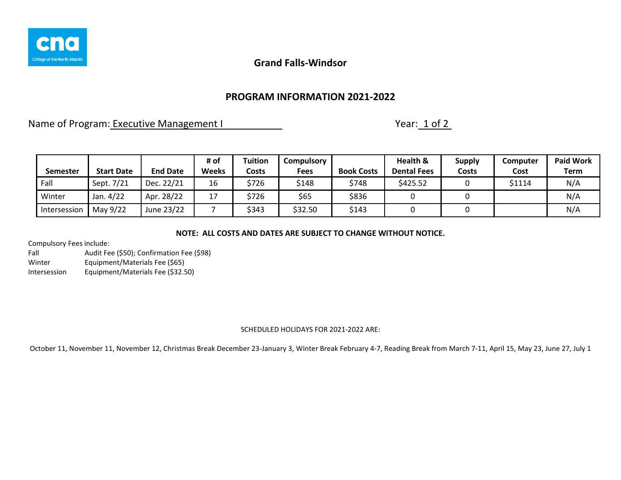

## **PROGRAM INFORMATION 2021-2022**

Name of Program: Executive Management I Name of Program: 1 of 2

|                 |                   |                 | # of         | Tuition | Compulsory |                   | Health &           | <b>Supply</b> | Computer | <b>Paid Work</b> |
|-----------------|-------------------|-----------------|--------------|---------|------------|-------------------|--------------------|---------------|----------|------------------|
| <b>Semester</b> | <b>Start Date</b> | <b>End Date</b> | <b>Weeks</b> | Costs   | Fees       | <b>Book Costs</b> | <b>Dental Fees</b> | Costs         | Cost     | <b>Term</b>      |
| Fall            | Sept. 7/21        | Dec. 22/21      | 16           | \$726   | \$148      | \$748             | \$425.52           |               | \$1114   | N/A              |
| Winter          | Jan. 4/22         | Apr. 28/22      | 17           | \$726   | \$65       | \$836             |                    |               |          | N/A              |
| Intersession    | May 9/22          | June 23/22      |              | \$343   | \$32.50    | \$143             |                    |               |          | N/A              |

**NOTE: ALL COSTS AND DATES ARE SUBJECT TO CHANGE WITHOUT NOTICE.**

Compulsory Fees include:

Fall Audit Fee (\$50); Confirmation Fee (\$98) Winter Equipment/Materials Fee (\$65) Intersession Equipment/Materials Fee (\$32.50)

### SCHEDULED HOLIDAYS FOR 2021-2022 ARE: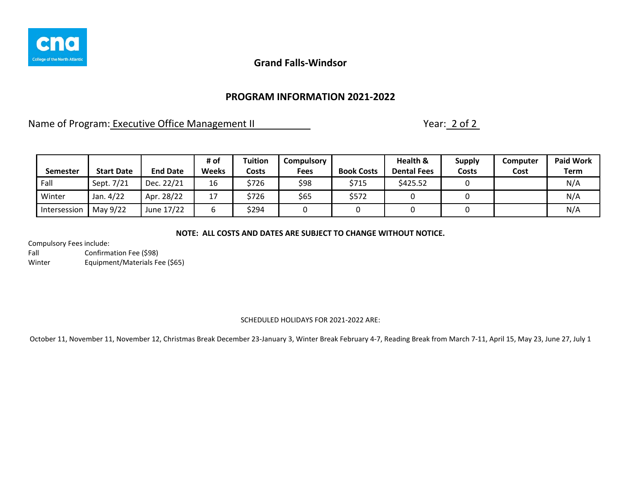

## **PROGRAM INFORMATION 2021-2022**

Name of Program: Executive Office Management II Name of Program: 2 of 2

| <b>Semester</b> | <b>Start Date</b> | <b>End Date</b> | # of<br><b>Weeks</b> | Tuition<br>Costs | Compulsory<br>Fees | <b>Book Costs</b> | Health &<br><b>Dental Fees</b> | <b>Supply</b><br>Costs | Computer<br>Cost | <b>Paid Work</b><br><b>Term</b> |
|-----------------|-------------------|-----------------|----------------------|------------------|--------------------|-------------------|--------------------------------|------------------------|------------------|---------------------------------|
| Fall            | Sept. 7/21        | Dec. 22/21      | 16                   | \$726            | \$98               | \$715             | \$425.52                       |                        |                  | N/A                             |
| Winter          | Jan. 4/22         | Apr. 28/22      | 17                   | \$726            | \$65               | \$572             |                                |                        |                  | N/A                             |
| Intersession    | May 9/22          | June 17/22      | b                    | \$294            |                    |                   |                                |                        |                  | N/A                             |

**NOTE: ALL COSTS AND DATES ARE SUBJECT TO CHANGE WITHOUT NOTICE.**

Compulsory Fees include:

Fall Confirmation Fee (\$98) Winter Equipment/Materials Fee (\$65)

### SCHEDULED HOLIDAYS FOR 2021-2022 ARE: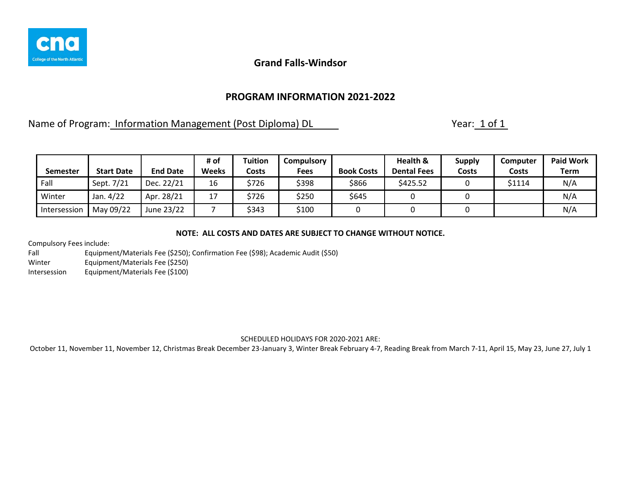

## **PROGRAM INFORMATION 2021-2022**

Name of Program: Information Management (Post Diploma) DL The Mannesotro Charles Vear: 1 of 1

|              |                   |                 | # of         | <b>Tuition</b> | Compulsory  |                   | Health &           | <b>Supply</b> | <b>Computer</b> | <b>Paid Work</b> |
|--------------|-------------------|-----------------|--------------|----------------|-------------|-------------------|--------------------|---------------|-----------------|------------------|
| Semester     | <b>Start Date</b> | <b>End Date</b> | <b>Weeks</b> | Costs          | <b>Fees</b> | <b>Book Costs</b> | <b>Dental Fees</b> | Costs         | Costs           | <b>Term</b>      |
| Fall         | Sept. 7/21        | Dec. 22/21      | 16           | \$726          | \$398       | \$866             | \$425.52           |               | \$1114          | N/A              |
| Winter       | Jan. 4/22         | Apr. 28/21      | 17           | \$726          | \$250       | \$645             |                    |               |                 | N/A              |
| Intersession | May 09/22         | June 23/22      |              | \$343          | \$100       |                   |                    |               |                 | N/A              |

### **NOTE: ALL COSTS AND DATES ARE SUBJECT TO CHANGE WITHOUT NOTICE.**

Compulsory Fees include:

Fall Equipment/Materials Fee (\$250); Confirmation Fee (\$98); Academic Audit (\$50) Winter Equipment/Materials Fee (\$250) Intersession Equipment/Materials Fee (\$100)

### SCHEDULED HOLIDAYS FOR 2020-2021 ARE: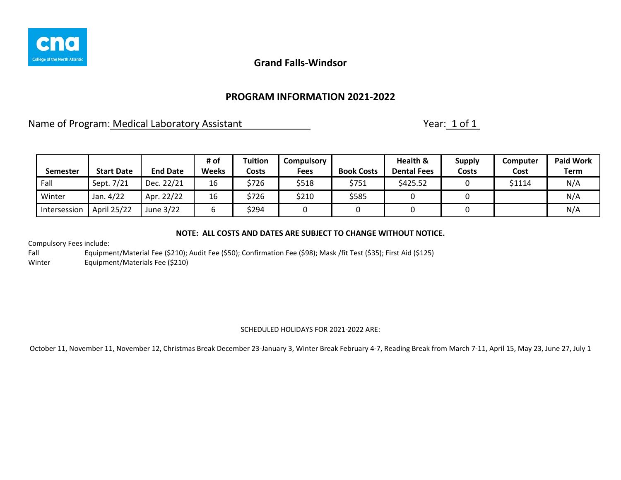

## **PROGRAM INFORMATION 2021-2022**

Name of Program: Medical Laboratory Assistant Name of Program: 1 of 1

| Semester     | <b>Start Date</b> | <b>End Date</b> | # of<br><b>Weeks</b> | Tuition<br>Costs | <b>Compulsory</b><br>Fees | <b>Book Costs</b> | Health &<br><b>Dental Fees</b> | <b>Supply</b><br>Costs | Computer<br>Cost | <b>Paid Work</b><br>Term |
|--------------|-------------------|-----------------|----------------------|------------------|---------------------------|-------------------|--------------------------------|------------------------|------------------|--------------------------|
| Fall         | Sept. 7/21        | Dec. 22/21      | 16                   | \$726            | \$518                     | \$751             | \$425.52                       |                        | \$1114           | N/A                      |
| Winter       | Jan. 4/22         | Apr. 22/22      | 16                   | \$726            | \$210                     | \$585             |                                |                        |                  | N/A                      |
| Intersession | April 25/22       | June 3/22       |                      | \$294            |                           |                   |                                |                        |                  | N/A                      |

### **NOTE: ALL COSTS AND DATES ARE SUBJECT TO CHANGE WITHOUT NOTICE.**

Compulsory Fees include:

Fall Equipment/Material Fee (\$210); Audit Fee (\$50); Confirmation Fee (\$98); Mask /fit Test (\$35); First Aid (\$125) Winter Equipment/Materials Fee (\$210)

### SCHEDULED HOLIDAYS FOR 2021-2022 ARE: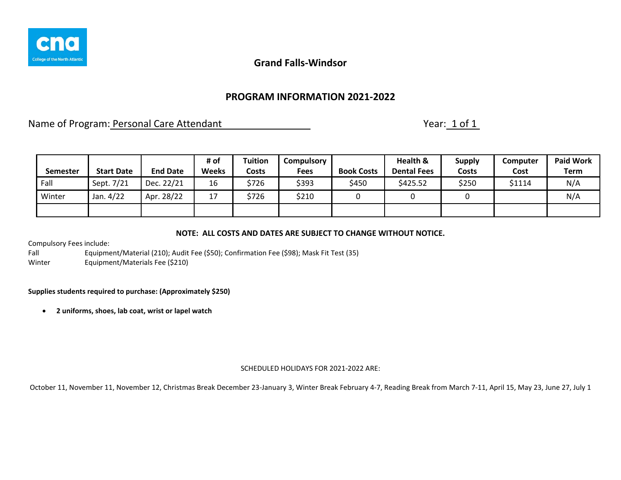

## **PROGRAM INFORMATION 2021-2022**

Name of Program: Personal Care Attendant Name of Program: Personal Care Attendant

|                 |                   |                 | # of         | Tuition      | <b>Compulsory</b> |                   | Health &           | <b>Supply</b> | Computer | <b>Paid Work</b> |
|-----------------|-------------------|-----------------|--------------|--------------|-------------------|-------------------|--------------------|---------------|----------|------------------|
| <b>Semester</b> | <b>Start Date</b> | <b>End Date</b> | <b>Weeks</b> | <b>Costs</b> | <b>Fees</b>       | <b>Book Costs</b> | <b>Dental Fees</b> | <b>Costs</b>  | Cost     | <b>Term</b>      |
| Fall            | Sept. 7/21        | Dec. 22/21      | 16           | \$726        | \$393             | \$450             | \$425.52           | \$250         | \$1114   | N/A              |
| Winter          | Jan. 4/22         | Apr. 28/22      | 17           | \$726        | \$210             |                   |                    |               |          | N/A              |
|                 |                   |                 |              |              |                   |                   |                    |               |          |                  |

### **NOTE: ALL COSTS AND DATES ARE SUBJECT TO CHANGE WITHOUT NOTICE.**

Compulsory Fees include:

Fall Equipment/Material (210); Audit Fee (\$50); Confirmation Fee (\$98); Mask Fit Test (35) Winter Equipment/Materials Fee (\$210)

### **Supplies students required to purchase: (Approximately \$250)**

• **2 uniforms, shoes, lab coat, wrist or lapel watch**

#### SCHEDULED HOLIDAYS FOR 2021-2022 ARE: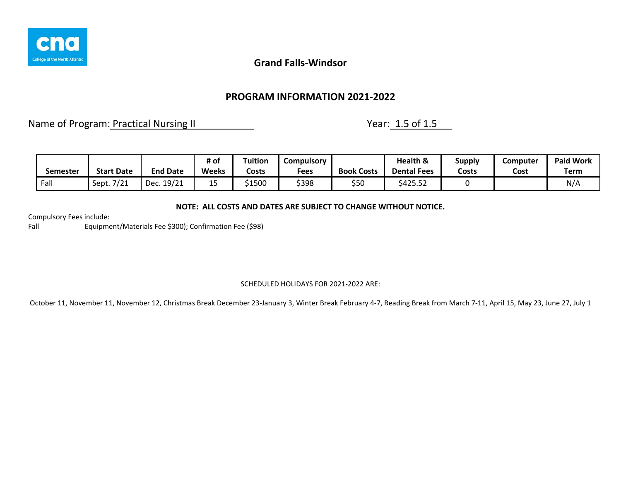

## **PROGRAM INFORMATION 2021-2022**

Name of Program: Practical Nursing II Nursing 11 Nursing 11 Nursing 11 Nursing 11 Nursing 11 Nursing 11 Nursing 1

|          |                   |                 | # of         | <b>Tuition</b> | Compulsory |                   | Health &           | Supply | Computer | <b>Paid Work</b> |
|----------|-------------------|-----------------|--------------|----------------|------------|-------------------|--------------------|--------|----------|------------------|
| Semester | <b>Start Date</b> | <b>End Date</b> | <b>Weeks</b> | Costs          | Fees       | <b>Book Costs</b> | <b>Dental Fees</b> | Costs  | Cost     | Term             |
| Fall     | Sept. 7/21        | 19/21<br>Dec    | --           | \$1500         | \$398      | \$50              | \$425.52           |        |          | N/A              |

### **NOTE: ALL COSTS AND DATES ARE SUBJECT TO CHANGE WITHOUT NOTICE.**

Compulsory Fees include:

Fall Equipment/Materials Fee \$300); Confirmation Fee (\$98)

### SCHEDULED HOLIDAYS FOR 2021-2022 ARE: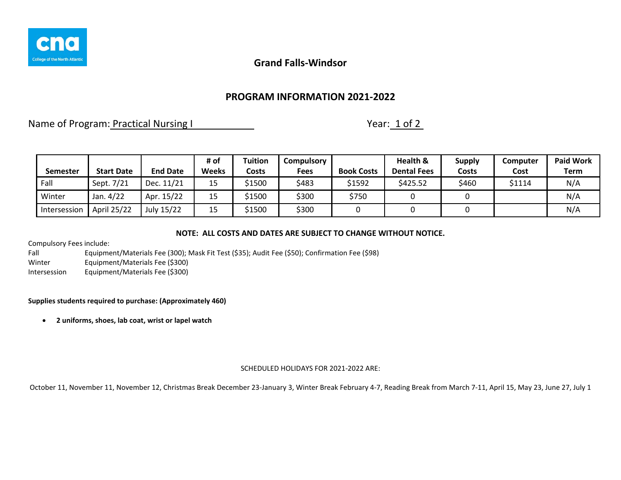

## **PROGRAM INFORMATION 2021-2022**

Name of Program: Practical Nursing I Name of Program: Practical Nursing I Nursing I Nursing I Nursing I Nursing

|                 |                   |                 | # of         | Tuition | Compulsory |                   | Health &           | <b>Supply</b> | Computer | <b>Paid Work</b> |
|-----------------|-------------------|-----------------|--------------|---------|------------|-------------------|--------------------|---------------|----------|------------------|
| <b>Semester</b> | <b>Start Date</b> | <b>End Date</b> | <b>Weeks</b> | Costs   | Fees       | <b>Book Costs</b> | <b>Dental Fees</b> | Costs         | Cost     | Term             |
| Fall            | Sept. 7/21        | Dec. 11/21      | 15           | \$1500  | \$483      | \$1592            | \$425.52           | \$460         | \$1114   | N/A              |
| Winter          | Jan. 4/22         | Apr. 15/22      | 15           | 1500ء   | \$300      | \$750             |                    |               |          | N/A              |
| Intersession    | April 25/22       | July 15/22      | 15           | \$1500  | \$300      |                   |                    |               |          | N/A              |

### **NOTE: ALL COSTS AND DATES ARE SUBJECT TO CHANGE WITHOUT NOTICE.**

Compulsory Fees include:

Fall Equipment/Materials Fee (300); Mask Fit Test (\$35); Audit Fee (\$50); Confirmation Fee (\$98) Winter Equipment/Materials Fee (\$300) Intersession Equipment/Materials Fee (\$300)

### **Supplies students required to purchase: (Approximately 460)**

• **2 uniforms, shoes, lab coat, wrist or lapel watch**

#### SCHEDULED HOLIDAYS FOR 2021-2022 ARE: